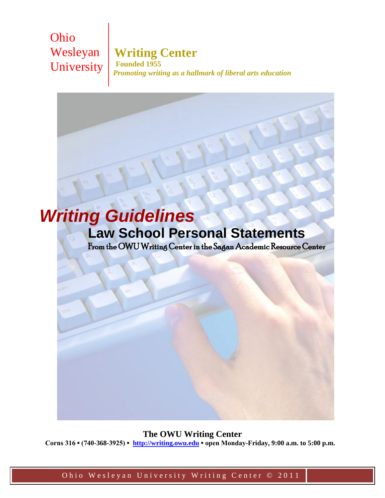#### **Writing Center Founded 1955** *Promoting writing as a hallmark of liberal arts education* Ohio Wesleyan **University**

# *Writing Guidelines*

**Law School Personal Statements**

From the OWU Writing Center in the Sagan Academic Resource Center

**The OWU Writing Center Corns 316 ▪ (740-368-3925) ▪ [http://writing.owu.edu](http://writing.owu.edu/) ▪ open Monday-Friday, 9:00 a.m. to 5:00 p.m.**

Ohio Wesleyan University Writing Center © 2011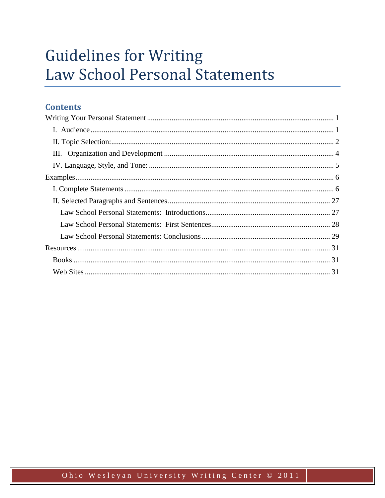# **Guidelines for Writing** Law School Personal Statements

### **Contents**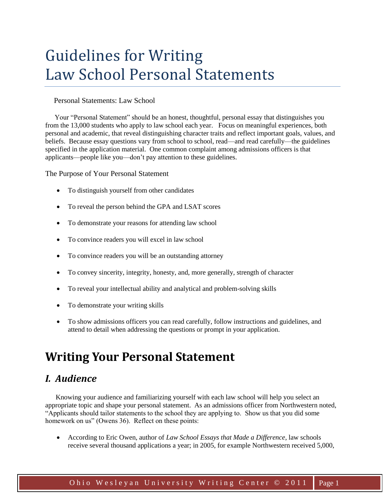# Guidelines for Writing Law School Personal Statements

#### Personal Statements: Law School

 Your "Personal Statement" should be an honest, thoughtful, personal essay that distinguishes you from the 13,000 students who apply to law school each year. Focus on meaningful experiences, both personal and academic, that reveal distinguishing character traits and reflect important goals, values, and beliefs. Because essay questions vary from school to school, read—and read carefully—the guidelines specified in the application material. One common complaint among admissions officers is that applicants—people like you—don't pay attention to these guidelines.

The Purpose of Your Personal Statement

- To distinguish yourself from other candidates
- To reveal the person behind the GPA and LSAT scores
- To demonstrate your reasons for attending law school
- To convince readers you will excel in law school
- To convince readers you will be an outstanding attorney
- To convey sincerity, integrity, honesty, and, more generally, strength of character
- To reveal your intellectual ability and analytical and problem-solving skills
- To demonstrate your writing skills
- To show admissions officers you can read carefully, follow instructions and guidelines, and attend to detail when addressing the questions or prompt in your application.

## <span id="page-2-0"></span>**Writing Your Personal Statement**

## <span id="page-2-1"></span>*I. Audience*

Knowing your audience and familiarizing yourself with each law school will help you select an appropriate topic and shape your personal statement. As an admissions officer from Northwestern noted, "Applicants should tailor statements to the school they are applying to. Show us that you did some homework on us" (Owens 36). Reflect on these points:

 According to Eric Owen, author of *Law School Essays that Made a Difference*, law schools receive several thousand applications a year; in 2005, for example Northwestern received 5,000,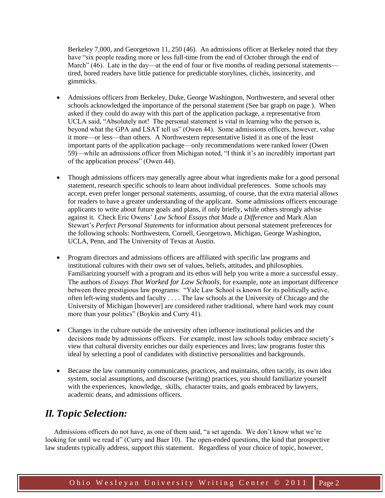Berkeley 7,000, and Georgetown 11, 250 (46). An admissions officer at Berkeley noted that they have "six people reading more or less full-time from the end of October through the end of March" (46). Late in the day—at the end of four or five months of reading personal statements tired, bored readers have little patience for predictable storylines, clichés, insincerity, and gimmicks.

- Admissions officers from Berkeley, Duke, George Washington, Northwestern, and several other schools acknowledged the importance of the personal statement (See bar graph on page ). When asked if they could do away with this part of the application package, a representative from UCLA said, "Absolutely not! The personal statement is vital in learning who the person is, beyond what the GPA and LSAT tell us" (Owen 44). Some admissions officers, however, value it more—or less—than others. A Northwestern representative listed it as one of the least important parts of the application package—only recommendations were ranked lower (Owen 59)—while an admissions officer from Michigan noted, "I think it's an incredibly important part of the application process" (Owen 44).
- Though admissions officers may generally agree about what ingredients make for a good personal statement, research specific schools to learn about individual preferences. Some schools may accept, even prefer longer personal statements, assuming, of course, that the extra material allows for readers to have a greater understanding of the applicant. Some admissions officers encourage applicants to write about future goals and plans, if only briefly, while others strongly advise against it. Check Eric Owens' *Law School Essays that Made a Difference* and Mark Alan Stewart's *Perfect Personal Statements* for information about personal statement preferences for the following schools: Northwestern, Cornell, Georgetown, Michigan, George Washington, UCLA, Penn, and The University of Texas at Austin.
- Program directors and admissions officers are affiliated with specific law programs and institutional cultures with their own set of values, beliefs, attitudes, and philosophies. Familiarizing yourself with a program and its ethos will help you write a more a successful essay. The authors of *Essays That Worked for Law Schools,* for example, note an important difference between three prestigious law programs: "Yale Law School is known for its politically active, often left-wing students and faculty . . . . The law schools at the University of Chicago and the University of Michigan [however] are considered rather traditional, where hard work may count more than your politics" (Boykin and Curry 41).
- Changes in the culture outside the university often influence institutional policies and the decisions made by admissions officers. For example, most law schools today embrace society's view that cultural diversity enriches our daily experiences and lives; law programs foster this ideal by selecting a pool of candidates with distinctive personalities and backgrounds.
- Because the law community communicates, practices, and maintains, often tacitly, its own idea system, social assumptions, and discourse (writing) practices, you should familiarize yourself with the experiences, knowledge, skills, character traits, and goals embraced by lawyers, academic deans, and admissions officers.

## <span id="page-3-0"></span>*II. Topic Selection:*

Admissions officers do not have, as one of them said, "a set agenda. We don't know what we're looking for until we read it" (Curry and Baer 10). The open-ended questions, the kind that prospective law students typically address, support this statement. Regardless of your choice of topic, however,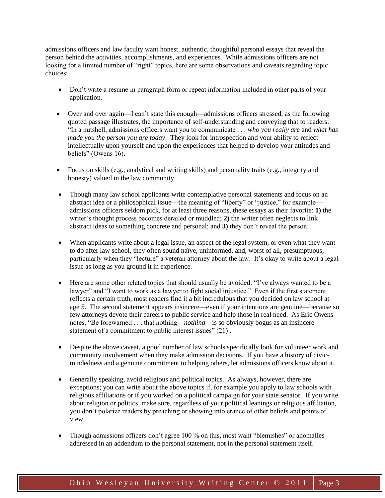admissions officers and law faculty want honest, authentic, thoughtful personal essays that reveal the person behind the activities, accomplishments, and experiences. While admissions officers are not looking for a limited number of "right" topics, here are some observations and caveats regarding topic choices:

- Don't write a resume in paragraph form or repeat information included in other parts of your application.
- Over and over again—I can't state this enough—admissions officers stressed, as the following quoted passage illustrates, the importance of self-understanding and conveying that to readers: "In a nutshell, admissions officers want you to communicate . . . *who you really are* and *what has made you the person you are today*. They look for introspection and your ability to reflect intellectually upon yourself and upon the experiences that helped to develop your attitudes and beliefs" (Owens 16).
- Focus on skills (e.g., analytical and writing skills) and personality traits (e.g., integrity and honesty) valued in the law community.
- Though many law school applicants write contemplative personal statements and focus on an abstract idea or a philosophical issue—the meaning of "liberty" or "justice," for example admissions officers seldom pick, for at least three reasons, these essays as their favorite: **1)** the writer's thought process becomes derailed or muddled; **2)** the writer often neglects to link abstract ideas to something concrete and personal; and **3)** they don't reveal the person.
- When applicants write about a legal issue, an aspect of the legal system, or even what they want to do after law school, they often sound naïve, uninformed, and, worst of all, presumptuous, particularly when they "lecture" a veteran attorney about the law. It's okay to write about a legal issue as long as you ground it in experience.
- Here are some other related topics that should usually be avoided: "I've always wanted to be a lawyer" and "I want to work as a lawyer to fight social injustice." Even if the first statement reflects a certain truth, most readers find it a bit incredulous that you decided on law school at age 5. The second statement appears insincere—even if your intentions are genuine—because so few attorneys devote their careers to public service and help those in real need. As Eric Owens notes, "Be forewarned . . . that nothing—*nothing*—is so obviously bogus as an insincere statement of a commitment to public interest issues" (21).
- Despite the above caveat, a good number of law schools specifically look for volunteer work and community involvement when they make admission decisions. If you have a history of civicmindedness and a genuine commitment to helping others, let admissions officers know about it.
- Generally speaking, avoid religious and political topics. As always, however, there are exceptions; you can write about the above topics if, for example you apply to law schools with religious affiliations or if you worked on a political campaign for your state senator. If you write about religion or politics, make sure, regardless of your political leanings or religious affiliation, you don't polarize readers by preaching or showing intolerance of other beliefs and points of view.
- Though admissions officers don't agree 100 % on this, most want "blemishes" or anomalies addressed in an addendum to the personal statement, not in the personal statement itself.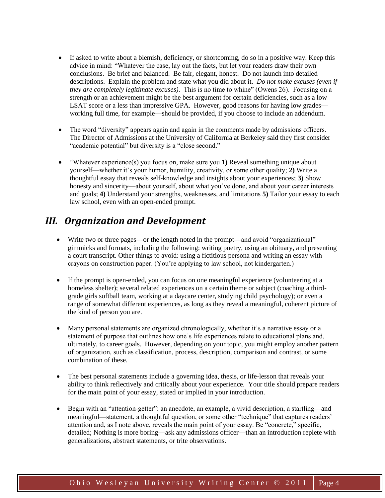- If asked to write about a blemish, deficiency, or shortcoming, do so in a positive way. Keep this advice in mind: "Whatever the case, lay out the facts, but let your readers draw their own conclusions. Be brief and balanced. Be fair, elegant, honest. Do not launch into detailed descriptions. Explain the problem and state what you did about it. *Do not make excuses (even if they are completely legitimate excuses)*. This is no time to whine" (Owens 26). Focusing on a strength or an achievement might be the best argument for certain deficiencies, such as a low LSAT score or a less than impressive GPA. However, good reasons for having low grades working full time, for example—should be provided, if you choose to include an addendum.
- The word "diversity" appears again and again in the comments made by admissions officers. The Director of Admissions at the University of California at Berkeley said they first consider "academic potential" but diversity is a "close second."
- "Whatever experience(s) you focus on, make sure you **1)** Reveal something unique about yourself—whether it's your humor, humility, creativity, or some other quality; **2)** Write a thoughtful essay that reveals self-knowledge and insights about your experiences; **3)** Show honesty and sincerity—about yourself, about what you've done, and about your career interests and goals; **4)** Understand your strengths, weaknesses, and limitations **5)** Tailor your essay to each law school, even with an open-ended prompt.

## <span id="page-5-0"></span>*III. Organization and Development*

- Write two or three pages—or the length noted in the prompt—and avoid "organizational" gimmicks and formats, including the following: writing poetry, using an obituary, and presenting a court transcript. Other things to avoid: using a fictitious persona and writing an essay with crayons on construction paper. (You're applying to law school, not kindergarten.)
- If the prompt is open-ended, you can focus on one meaningful experience (volunteering at a homeless shelter); several related experiences on a certain theme or subject (coaching a thirdgrade girls softball team, working at a daycare center, studying child psychology); or even a range of somewhat different experiences, as long as they reveal a meaningful, coherent picture of the kind of person you are.
- Many personal statements are organized chronologically, whether it's a narrative essay or a statement of purpose that outlines how one's life experiences relate to educational plans and, ultimately, to career goals. However, depending on your topic, you might employ another pattern of organization, such as classification, process, description, comparison and contrast, or some combination of these.
- The best personal statements include a governing idea, thesis, or life-lesson that reveals your ability to think reflectively and critically about your experience. Your title should prepare readers for the main point of your essay, stated or implied in your introduction.
- Begin with an "attention-getter": an anecdote, an example, a vivid description, a startling—and meaningful—statement, a thoughtful question, or some other "technique" that captures readers' attention and, as I note above, reveals the main point of your essay. Be "concrete," specific, detailed; Nothing is more boring—ask any admissions officer—than an introduction replete with generalizations, abstract statements, or trite observations.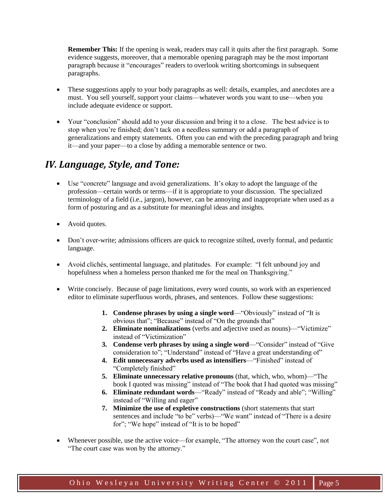**Remember This:** If the opening is weak, readers may call it quits after the first paragraph. Some evidence suggests, moreover, that a memorable opening paragraph may be the most important paragraph because it "encourages" readers to overlook writing shortcomings in subsequent paragraphs.

- These suggestions apply to your body paragraphs as well: details, examples, and anecdotes are a must. You sell yourself, support your claims—whatever words you want to use—when you include adequate evidence or support.
- Your "conclusion" should add to your discussion and bring it to a close. The best advice is to stop when you're finished; don't tack on a needless summary or add a paragraph of generalizations and empty statements. Often you can end with the preceding paragraph and bring it—and your paper—to a close by adding a memorable sentence or two.

## <span id="page-6-0"></span>*IV. Language, Style, and Tone:*

- Use "concrete" language and avoid generalizations. It's okay to adopt the language of the profession—certain words or terms—if it is appropriate to your discussion. The specialized terminology of a field (i.e., jargon), however, can be annoying and inappropriate when used as a form of posturing and as a substitute for meaningful ideas and insights.
- Avoid quotes.
- Don't over-write; admissions officers are quick to recognize stilted, overly formal, and pedantic language.
- Avoid clichés, sentimental language, and platitudes. For example: "I felt unbound joy and hopefulness when a homeless person thanked me for the meal on Thanksgiving."
- Write concisely. Because of page limitations, every word counts, so work with an experienced editor to eliminate superfluous words, phrases, and sentences. Follow these suggestions:
	- **1. Condense phrases by using a single word**—"Obviously" instead of "It is obvious that"; "Because" instead of "On the grounds that"
	- **2. Eliminate nominalizations** (verbs and adjective used as nouns)—"Victimize" instead of "Victimization"
	- **3. Condense verb phrases by using a single word**—"Consider" instead of "Give consideration to"; "Understand" instead of "Have a great understanding of"
	- **4. Edit unnecessary adverbs used as intensifiers**—"Finished" instead of "Completely finished"
	- **5. Eliminate unnecessary relative pronouns** (that, which, who, whom)—"The book I quoted was missing" instead of "The book that I had quoted was missing"
	- **6. Eliminate redundant words**—"Ready" instead of "Ready and able"; "Willing" instead of "Willing and eager"
	- **7. Minimize the use of expletive constructions** (short statements that start sentences and include "to be" verbs)—"We want" instead of "There is a desire for"; "We hope" instead of "It is to be hoped"
- Whenever possible, use the active voice—for example, "The attorney won the court case", not "The court case was won by the attorney."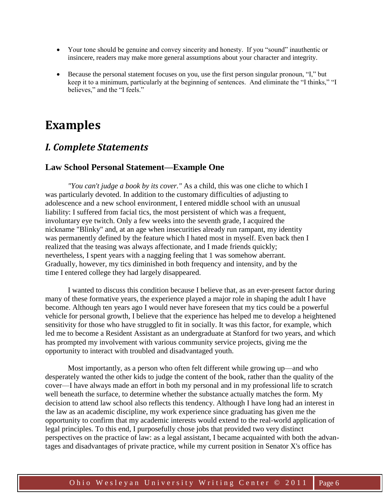- Your tone should be genuine and convey sincerity and honesty. If you "sound" inauthentic or insincere, readers may make more general assumptions about your character and integrity.
- Because the personal statement focuses on you, use the first person singular pronoun, "I," but keep it to a minimum, particularly at the beginning of sentences. And eliminate the "I thinks," "I believes," and the "I feels."

## <span id="page-7-0"></span>**Examples**

### <span id="page-7-1"></span>*I. Complete Statements*

#### **Law School Personal Statement—Example One**

*"You can't judge a book by its cover."* As a child, this was one cliche to which I was particularly devoted. In addition to the customary difficulties of adjusting to adolescence and a new school environment, I entered middle school with an unusual liability: I suffered from facial tics, the most persistent of which was a frequent, involuntary eye twitch. Only a few weeks into the seventh grade, I acquired the nickname "Blinky" and, at an age when insecurities already run rampant, my identity was permanently defined by the feature which I hated most in myself. Even back then I realized that the teasing was always affectionate, and I made friends quickly; nevertheless, I spent years with a nagging feeling that 1 was somehow aberrant. Gradually, however, my tics diminished in both frequency and intensity, and by the time I entered college they had largely disappeared.

I wanted to discuss this condition because I believe that, as an ever-present factor during many of these formative years, the experience played a major role in shaping the adult I have become. Although ten years ago I would never have foreseen that my tics could be a powerful vehicle for personal growth, I believe that the experience has helped me to develop a heightened sensitivity for those who have struggled to fit in socially. It was this factor, for example, which led me to become a Resident Assistant as an undergraduate at Stanford for two years, and which has prompted my involvement with various community service projects, giving me the opportunity to interact with troubled and disadvantaged youth.

Most importantly, as a person who often felt different while growing up—and who desperately wanted the other kids to judge the content of the book, rather than the quality of the cover—I have always made an effort in both my personal and in my professional life to scratch well beneath the surface, to determine whether the substance actually matches the form. My decision to attend law school also reflects this tendency. Although I have long had an interest in the law as an academic discipline, my work experience since graduating has given me the opportunity to confirm that my academic interests would extend to the real-world application of legal principles. To this end, I purposefully chose jobs that provided two very distinct perspectives on the practice of law: as a legal assistant, I became acquainted with both the advantages and disadvantages of private practice, while my current position in Senator X's office has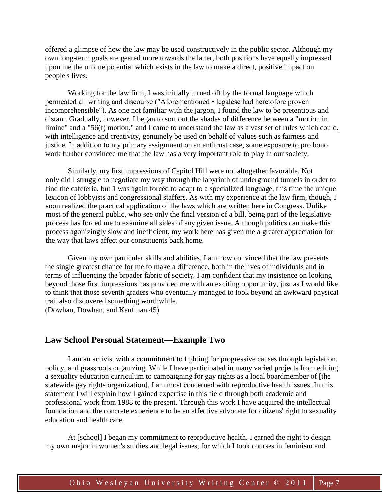offered a glimpse of how the law may be used constructively in the public sector. Although my own long-term goals are geared more towards the latter, both positions have equally impressed upon me the unique potential which exists in the law to make a direct, positive impact on people's lives.

Working for the law firm, I was initially turned off by the formal language which permeated all writing and discourse ("Aforementioned • legalese had heretofore proven incomprehensible"). As one not familiar with the jargon, I found the law to be pretentious and distant. Gradually, however, I began to sort out the shades of difference between a "motion in limine" and a "56(f) motion," and I came to understand the law as a vast set of rules which could, with intelligence and creativity, genuinely be used on behalf of values such as fairness and justice. In addition to my primary assignment on an antitrust case, some exposure to pro bono work further convinced me that the law has a very important role to play in our society.

Similarly, my first impressions of Capitol Hill were not altogether favorable. Not only did I struggle to negotiate my way through the labyrinth of underground tunnels in order to find the cafeteria, but 1 was again forced to adapt to a specialized language, this time the unique lexicon of lobbyists and congressional staffers. As with my experience at the law firm, though, I soon realized the practical application of the laws which are written here in Congress. Unlike most of the general public, who see only the final version of a bill, being part of the legislative process has forced me to examine all sides of any given issue. Although politics can make this process agonizingly slow and inefficient, my work here has given me a greater appreciation for the way that laws affect our constituents back home.

Given my own particular skills and abilities, I am now convinced that the law presents the single greatest chance for me to make a difference, both in the lives of individuals and in terms of influencing the broader fabric of society. I am confident that my insistence on looking beyond those first impressions has provided me with an exciting opportunity, just as I would like to think that those seventh graders who eventually managed to look beyond an awkward physical trait also discovered something worthwhile.

(Dowhan, Dowhan, and Kaufman 45)

#### **Law School Personal Statement—Example Two**

I am an activist with a commitment to fighting for progressive causes through legislation, policy, and grassroots organizing. While I have participated in many varied projects from editing a sexuality education curriculum to campaigning for gay rights as a local boardmember of [the statewide gay rights organization], I am most concerned with reproductive health issues. In this statement I will explain how I gained expertise in this field through both academic and professional work from 1988 to the present. Through this work I have acquired the intellectual foundation and the concrete experience to be an effective advocate for citizens' right to sexuality education and health care.

At [school] I began my commitment to reproductive health. I earned the right to design my own major in women's studies and legal issues, for which I took courses in feminism and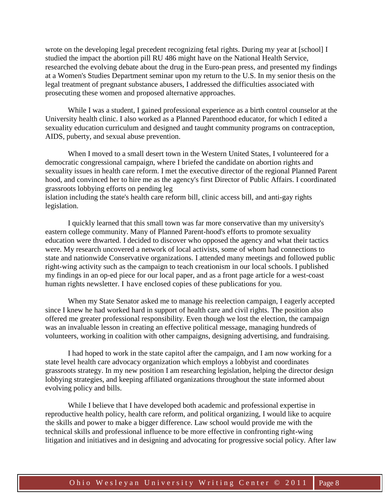wrote on the developing legal precedent recognizing fetal rights. During my year at [school] I studied the impact the abortion pill RU 486 might have on the National Health Service, researched the evolving debate about the drug in the Euro-pean press, and presented my findings at a Women's Studies Department seminar upon my return to the U.S. In my senior thesis on the legal treatment of pregnant substance abusers, I addressed the difficulties associated with prosecuting these women and proposed alternative approaches.

While I was a student, I gained professional experience as a birth control counselor at the University health clinic. I also worked as a Planned Parenthood educator, for which I edited a sexuality education curriculum and designed and taught community programs on contraception, AIDS, puberty, and sexual abuse prevention.

When I moved to a small desert town in the Western United States, I volunteered for a democratic congressional campaign, where I briefed the candidate on abortion rights and sexuality issues in health care reform. I met the executive director of the regional Planned Parent hood, and convinced her to hire me as the agency's first Director of Public Affairs. I coordinated grassroots lobbying efforts on pending leg

islation including the state's health care reform bill, clinic access bill, and anti-gay rights legislation.

I quickly learned that this small town was far more conservative than my university's eastern college community. Many of Planned Parent-hood's efforts to promote sexuality education were thwarted. I decided to discover who opposed the agency and what their tactics were. My research uncovered a network of local activists, some of whom had connections to state and nationwide Conservative organizations. I attended many meetings and followed public right-wing activity such as the campaign to teach creationism in our local schools. I published my findings in an op-ed piece for our local paper, and as a front page article for a west-coast human rights newsletter. I have enclosed copies of these publications for you.

When my State Senator asked me to manage his reelection campaign, I eagerly accepted since I knew he had worked hard in support of health care and civil rights. The position also offered me greater professional responsibility. Even though we lost the election, the campaign was an invaluable lesson in creating an effective political message, managing hundreds of volunteers, working in coalition with other campaigns, designing advertising, and fundraising.

I had hoped to work in the state capitol after the campaign, and I am now working for a state level health care advocacy organization which employs a lobbyist and coordinates grassroots strategy. In my new position I am researching legislation, helping the director design lobbying strategies, and keeping affiliated organizations throughout the state informed about evolving policy and bills.

While I believe that I have developed both academic and professional expertise in reproductive health policy, health care reform, and political organizing, I would like to acquire the skills and power to make a bigger difference. Law school would provide me with the technical skills and professional influence to be more effective in confronting right-wing litigation and initiatives and in designing and advocating for progressive social policy. After law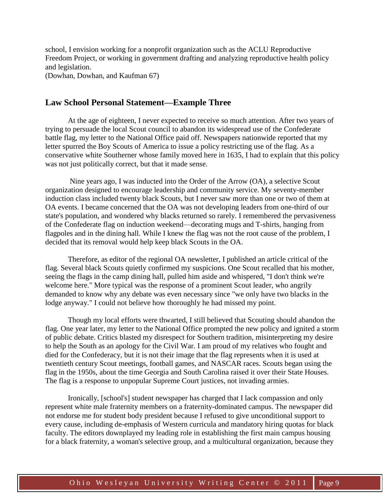school, I envision working for a nonprofit organization such as the ACLU Reproductive Freedom Project, or working in government drafting and analyzing reproductive health policy and legislation.

(Dowhan, Dowhan, and Kaufman 67)

#### **Law School Personal Statement—Example Three**

At the age of eighteen, I never expected to receive so much attention. After two years of trying to persuade the local Scout council to abandon its widespread use of the Confederate battle flag, my letter to the National Office paid off. Newspapers nationwide reported that my letter spurred the Boy Scouts of America to issue a policy restricting use of the flag. As a conservative white Southerner whose family moved here in 1635, I had to explain that this policy was not just politically correct, but that it made sense.

Nine years ago, I was inducted into the Order of the Arrow (OA), a selective Scout organization designed to encourage leadership and community service. My seventy-member induction class included twenty black Scouts, but I never saw more than one or two of them at OA events. I became concerned that the OA was not developing leaders from one-third of our state's population, and wondered why blacks returned so rarely. I remembered the pervasiveness of the Confederate flag on induction weekend—decorating mugs and T-shirts, hanging from flagpoles and in the dining hall. While I knew the flag was not the root cause of the problem, I decided that its removal would help keep black Scouts in the OA.

Therefore, as editor of the regional OA newsletter, I published an article critical of the flag. Several black Scouts quietly confirmed my suspicions. One Scout recalled that his mother, seeing the flags in the camp dining hall, pulled him aside and whispered, "I don't think we're welcome here." More typical was the response of a prominent Scout leader, who angrily demanded to know why any debate was even necessary since "we only have two blacks in the lodge anyway." I could not believe how thoroughly he had missed my point.

Though my local efforts were thwarted, I still believed that Scouting should abandon the flag. One year later, my letter to the National Office prompted the new policy and ignited a storm of public debate. Critics blasted my disrespect for Southern tradition, misinterpreting my desire to help the South as an apology for the Civil War. I am proud of my relatives who fought and died for the Confederacy, but it is not their image that the flag represents when it is used at twentieth century Scout meetings, football games, and NASCAR races. Scouts began using the flag in the 1950s, about the time Georgia and South Carolina raised it over their State Houses. The flag is a response to unpopular Supreme Court justices, not invading armies.

Ironically, [school's] student newspaper has charged that I lack compassion and only represent white male fraternity members on a fraternity-dominated campus. The newspaper did not endorse me for student body president because I refused to give unconditional support to every cause, including de-emphasis of Western curricula and mandatory hiring quotas for black faculty. The editors downplayed my leading role in establishing the first main campus housing for a black fraternity, a woman's selective group, and a multicultural organization, because they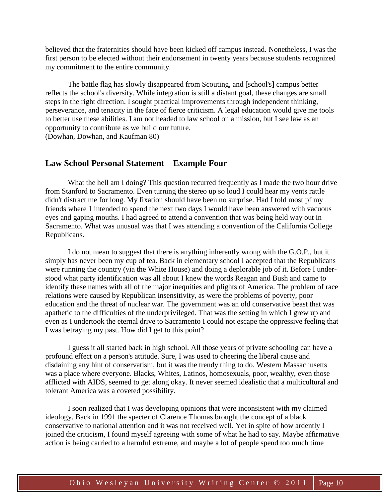believed that the fraternities should have been kicked off campus instead. Nonetheless, I was the first person to be elected without their endorsement in twenty years because students recognized my commitment to the entire community.

The battle flag has slowly disappeared from Scouting, and [school's] campus better reflects the school's diversity. While integration is still a distant goal, these changes are small steps in the right direction. I sought practical improvements through independent thinking, perseverance, and tenacity in the face of fierce criticism. A legal education would give me tools to better use these abilities. I am not headed to law school on a mission, but I see law as an opportunity to contribute as we build our future. (Dowhan, Dowhan, and Kaufman 80)

#### **Law School Personal Statement—Example Four**

What the hell am I doing? This question recurred frequently as I made the two hour drive from Stanford to Sacramento. Even turning the stereo up so loud I could hear my vents rattle didn't distract me for long. My fixation should have been no surprise. Had I told most pf my friends where 1 intended to spend the next two days I would have been answered with vacuous eyes and gaping mouths. I had agreed to attend a convention that was being held way out in Sacramento. What was unusual was that I was attending a convention of the California College Republicans.

I do not mean to suggest that there is anything inherently wrong with the G.O.P., but it simply has never been my cup of tea. Back in elementary school I accepted that the Republicans were running the country (via the White House) and doing a deplorable job of it. Before I understood what party identification was all about I knew the words Reagan and Bush and came to identify these names with all of the major inequities and plights of America. The problem of race relations were caused by Republican insensitivity, as were the problems of poverty, poor education and the threat of nuclear war. The government was an old conservative beast that was apathetic to the difficulties of the underprivileged. That was the setting in which I grew up and even as I undertook the eternal drive to Sacramento I could not escape the oppressive feeling that I was betraying my past. How did I get to this point?

I guess it all started back in high school. All those years of private schooling can have a profound effect on a person's attitude. Sure, I was used to cheering the liberal cause and disdaining any hint of conservatism, but it was the trendy thing to do. Western Massachusetts was a place where everyone. Blacks, Whites, Latinos, homosexuals, poor, wealthy, even those afflicted with AIDS, seemed to get along okay. It never seemed idealistic that a multicultural and tolerant America was a coveted possibility.

I soon realized that I was developing opinions that were inconsistent with my claimed ideology. Back in 1991 the specter of Clarence Thomas brought the concept of a black conservative to national attention and it was not received well. Yet in spite of how ardently I joined the criticism, I found myself agreeing with some of what he had to say. Maybe affirmative action is being carried to a harmful extreme, and maybe a lot of people spend too much time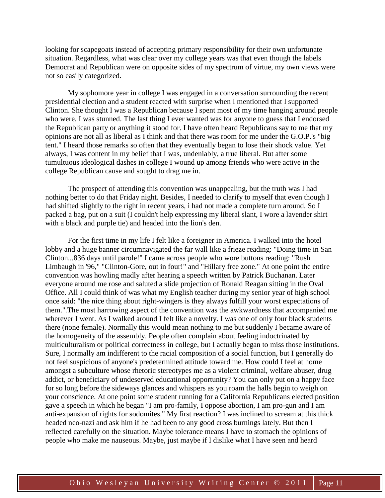looking for scapegoats instead of accepting primary responsibility for their own unfortunate situation. Regardless, what was clear over my college years was that even though the labels Democrat and Republican were on opposite sides of my spectrum of virtue, my own views were not so easily categorized.

My sophomore year in college I was engaged in a conversation surrounding the recent presidential election and a student reacted with surprise when I mentioned that I supported Clinton. She thought I was a Republican because I spent most of my time hanging around people who were. I was stunned. The last thing I ever wanted was for anyone to guess that I endorsed the Republican party or anything it stood for. I have often heard Republicans say to me that my opinions are not all as liberal as I think and that there was room for me under the G.O.P.'s "big tent." I heard those remarks so often that they eventually began to lose their shock value. Yet always, I was content in my belief that I was, undeniably, a true liberal. But after some tumultuous ideological dashes in college I wound up among friends who were active in the college Republican cause and sought to drag me in.

The prospect of attending this convention was unappealing, but the truth was I had nothing better to do that Friday night. Besides, I needed to clarify to myself that even though I had shifted slightly to the right in recent years, i had not made a complete turn around. So I packed a bag, put on a suit (I couldn't help expressing my liberal slant, I wore a lavender shirt with a black and purple tie) and headed into the lion's den.

For the first time in my life I felt like a foreigner in America. I walked into the hotel lobby and a huge banner circumnavigated the far wall like a frieze reading: "Doing time in San Clinton...836 days until parole!" I came across people who wore buttons reading: "Rush Limbaugh in '96," "Clinton-Gore, out in four!" and "Hillary free zone." At one point the entire convention was howling madly after hearing a speech written by Patrick Buchanan. Later everyone around me rose and saluted a slide projection of Ronald Reagan sitting in the Oval Office. All I could think of was what my English teacher during my senior year of high school once said: "the nice thing about right-wingers is they always fulfill your worst expectations of them.".The most harrowing aspect of the convention was the awkwardness that accompanied me wherever I went. As I walked around I felt like a novelty. I was one of only four black students there (none female). Normally this would mean nothing to me but suddenly I became aware of the homogeneity of the assembly. People often complain about feeling indoctrinated by multiculturalism or political correctness in college, but I actually began to miss those institutions. Sure, I normally am indifferent to the racial composition of a social function, but I generally do not feel suspicious of anyone's predetermined attitude toward me. How could I feel at home amongst a subculture whose rhetoric stereotypes me as a violent criminal, welfare abuser, drug addict, or beneficiary of undeserved educational opportunity? You can only put on a happy face for so long before the sideways glances and whispers as you roam the halls begin to weigh on your conscience. At one point some student running for a California Republicans elected position gave a speech in which he began "I am pro-family, I oppose abortion, I am pro-gun and I am anti-expansion of rights for sodomites." My first reaction? I was inclined to scream at this thick headed neo-nazi and ask him if he had been to any good cross burnings lately. But then I reflected carefully on the situation. Maybe tolerance means I have to stomach the opinions of people who make me nauseous. Maybe, just maybe if I dislike what I have seen and heard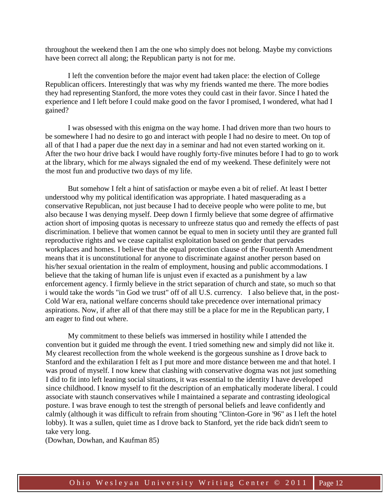throughout the weekend then I am the one who simply does not belong. Maybe my convictions have been correct all along; the Republican party is not for me.

I left the convention before the major event had taken place: the election of College Republican officers. Interestingly that was why my friends wanted me there. The more bodies they had representing Stanford, the more votes they could cast in their favor. Since I hated the experience and I left before I could make good on the favor I promised, I wondered, what had I gained?

I was obsessed with this enigma on the way home. I had driven more than two hours to be somewhere I had no desire to go and interact with people I had no desire to meet. On top of all of that I had a paper due the next day in a seminar and had not even started working on it. After the two hour drive back I would have roughly forty-five minutes before I had to go to work at the library, which for me always signaled the end of my weekend. These definitely were not the most fun and productive two days of my life.

But somehow I felt a hint of satisfaction or maybe even a bit of relief. At least I better understood why my political identification was appropriate. I hated masquerading as a conservative Republican, not just because I had to deceive people who were polite to me, but also because I was denying myself. Deep down I firmly believe that some degree of affirmative action short of imposing quotas is necessary to unfreeze status quo and remedy the effects of past discrimination. I believe that women cannot be equal to men in society until they are granted full reproductive rights and we cease capitalist exploitation based on gender that pervades workplaces and homes. I believe that the equal protection clause of the Fourteenth Amendment means that it is unconstitutional for anyone to discriminate against another person based on his/her sexual orientation in the realm of employment, housing and public accommodations. I believe that the taking of human life is unjust even if exacted as a punishment by a law enforcement agency. I firmly believe in the strict separation of church and state, so much so that i would take the words "in God we trust" off of all U.S. currency. I also believe that, in the post-Cold War era, national welfare concerns should take precedence over international primacy aspirations. Now, if after all of that there may still be a place for me in the Republican party, I am eager to find out where.

My commitment to these beliefs was immersed in hostility while I attended the convention but it guided me through the event. I tried something new and simply did not like it. My clearest recollection from the whole weekend is the gorgeous sunshine as I drove back to Stanford and the exhilaration I felt as I put more and more distance between me and that hotel. I was proud of myself. I now knew that clashing with conservative dogma was not just something I did to fit into left leaning social situations, it was essential to the identity I have developed since childhood. I know myself to fit the description of an emphatically moderate liberal. I could associate with staunch conservatives while I maintained a separate and contrasting ideological posture. I was brave enough to test the strength of personal beliefs and leave confidently and calmly (although it was difficult to refrain from shouting "Clinton-Gore in '96" as I left the hotel lobby). It was a sullen, quiet time as I drove back to Stanford, yet the ride back didn't seem to take very long.

(Dowhan, Dowhan, and Kaufman 85)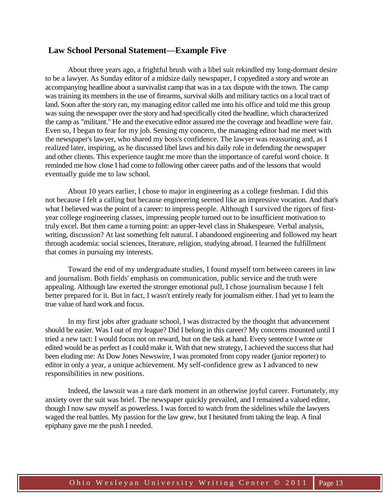#### **Law School Personal Statement—Example Five**

About three years ago, a frightful brush with a libel suit rekindled my long-dormant desire to be a lawyer. As Sunday editor of a midsize daily newspaper, I copyedited a story and wrote an accompanying headline about a survivalist camp that was in a tax dispute with the town. The camp was training its members in the use of firearms, survival skills and military tactics on a local tract of land. Soon after the story ran, my managing editor called me into his office and told me this group was suing the newspaper over the story and had specifically cited the headline, which characterized the camp as "militant." He and the executive editor assured me the coverage and headline were fair. Even so, I began to fear for my job. Sensing my concern, the managing editor had me meet with the newspaper's lawyer, who shared my boss's confidence. The lawyer was reassuring and, as I realized later, inspiring, as he discussed libel laws and his daily role in defending the newspaper and other clients. This experience taught me more than the importance of careful word choice. It reminded me how close I had come to following other career paths and of the lessons that would eventually guide me to law school.

About 10 years earlier, I chose to major in engineering as a college freshman. I did this not because I felt a calling but because engineering seemed like an impressive vocation. And that's what I believed was the point of a career: to impress people. Although I survived the rigors of firstyear college engineering classes, impressing people turned out to be insufficient motivation to truly excel. But then came a turning point: an upper-level class in Shakespeare. Verbal analysis, writing, discussion? At last something felt natural. I abandoned engineering and followed my heart through academia: social sciences, literature, religion, studying abroad. I learned the fulfillment that comes in pursuing my interests.

Toward the end of my undergraduate studies, I found myself torn between careers in law and journalism. Both fields' emphasis on communication, public service and the truth were appealing. Although law exerted the stronger emotional pull, I chose journalism because I felt better prepared for it. But in fact, I wasn't entirely ready for joumalism either. I had yet to learn the true value of hard work and focus.

In my first jobs after graduate school, I was distracted by the thought that advancement should be easier. Was I out of my league? Did I belong in this career? My concerns mounted until I tried a new tact: I would focus not on reward, but on the task at hand. Every sentence I wrote or edited would be as perfect as I could make it. With that new strategy, I achieved the success that had been eluding me: At Dow Jones Newswire, I was promoted from copy reader (junior reporter) to editor in only a year, a unique achievement. My self-confidence grew as I advanced to new responsibilities in new positions.

Indeed, the lawsuit was a rare dark moment in an otherwise joyful career. Fortunately, my anxiety over the suit was brief. The newspaper quickly prevailed, and I remained a valued editor, though I now saw myself as powerless. I was forced to watch from the sidelines while the lawyers waged the real battles. My passion for the law grew, but I hesitated from taking the leap. A final epiphany gave me the push I needed.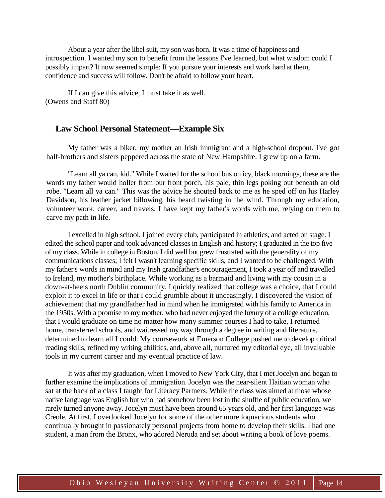About a year after the libel suit, my son was born. It was a time of happiness and introspection. I wanted my son to benefit from the lessons I've learned, but what wisdom could I possibly impart? It now seemed simple: If you pursue your interests and work hard at them, confidence and success will follow. Don't be afraid to follow your heart.

If I can give this advice, I must take it as well. (Owens and Staff 80)

#### **Law School Personal Statement—Example Six**

My father was a biker, my mother an Irish immigrant and a high-school dropout. I've got half-brothers and sisters peppered across the state of New Hampshire. I grew up on a farm.

"Learn all ya can, kid." While I waited for the school bus on icy, black mornings, these are the words my father would holler from our front porch, his pale, thin legs poking out beneath an old robe. "Learn all ya can." This was the advice he shouted back to me as he sped off on his Harley Davidson, his leather jacket billowing, his beard twisting in the wind. Through my education, volunteer work, career, and travels, I have kept my father's words with me, relying on them to carve my path in life.

I excelled in high school. I joined every club, participated in athletics, and acted on stage. I edited the school paper and took advanced classes in English and history; I graduated in the top five of my class. While in college in Boston, I did well but grew frustrated with the generality of my communications classes; I felt I wasn't learning specific skills, and I wanted to be challenged. With my father's words in mind and my Irish grandfather's encouragement, I took a year off and travelled to Ireland, my mother's birthplace. While working as a barmaid and living with my cousin in a down-at-heels north Dublin community, I quickly realized that college was a choice, that I could exploit it to excel in life or that I could grumble about it unceasingly. I discovered the vision of achievement that my grandfather had in mind when he immigrated with his family to America in the 1950s. With a promise to my mother, who had never enjoyed the luxury of a college education, that I would graduate on time no matter how many summer courses I had to take, I returned home, transferred schools, and waitressed my way through a degree in writing and literature, determined to learn all I could. My coursework at Emerson College pushed me to develop critical reading skills, refined my writing abilities, and, above all, nurtured my editorial eye, all invaluable tools in my current career and my eventual practice of law.

It was after my graduation, when I moved to New York City, that I met Jocelyn and began to further examine the implications of immigration. Jocelyn was the near-silent Haitian woman who sat at the back of a class I taught for Literacy Partners. While the class was aimed at those whose native language was English but who had somehow been lost in the shuffle of public education, we rarely turned anyone away. Jocelyn must have been around 65 years old, and her first language was Creole. At first, I overlooked Jocelyn for some of the other more loquacious students who continually brought in passionately personal projects from home to develop their skills. I had one student, a man from the Bronx, who adored Neruda and set about writing a book of love poems.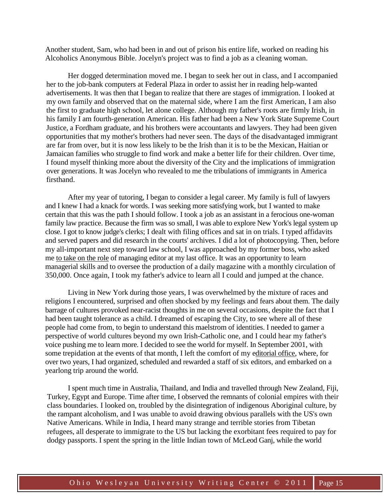Another student, Sam, who had been in and out of prison his entire life, worked on reading his Alcoholics Anonymous Bible. Jocelyn's project was to find a job as a cleaning woman.

Her dogged determination moved me. I began to seek her out in class, and I accompanied her to the job-bank computers at Federal Plaza in order to assist her in reading help-wanted advertisements. It was then that I began to realize that there are stages of immigration. I looked at my own family and observed that on the maternal side, where I am the first American, I am also the first to graduate high school, let alone college. Although my father's roots are firmly Irish, in his family I am fourth-generation American. His father had been a New York State Supreme Court Justice, a Fordham graduate, and his brothers were accountants and lawyers. They had been given opportunities that my mother's brothers had never seen. The days of the disadvantaged immigrant are far from over, but it is now less likely to be the Irish than it is to be the Mexican, Haitian or Jamaican families who struggle to find work and make a better life for their children. Over time, I found myself thinking more about the diversity of the City and the implications of immigration over generations. It was Jocelyn who revealed to me the tribulations of immigrants in America firsthand.

After my year of tutoring, I began to consider a legal career. My family is full of lawyers and I knew I had a knack for words. I was seeking more satisfying work, but I wanted to make certain that this was the path I should follow. I took a job as an assistant in a ferocious one-woman family law practice. Because the firm was so small, I was able to explore New York's legal system up close. I got to know judge's clerks; I dealt with filing offices and sat in on trials. I typed affidavits and served papers and did research in the courts' archives. I did a lot of photocopying. Then, before my all-important next step toward law school, I was approached by my former boss, who asked me to take on the role of managing editor at my last office. It was an opportunity to learn managerial skills and to oversee the production of a daily magazine with a monthly circulation of 350,000. Once again, I took my father's advice to learn all I could and jumped at the chance.

Living in New York during those years, I was overwhelmed by the mixture of races and religions I encountered, surprised and often shocked by my feelings and fears about them. The daily barrage of cultures provoked near-racist thoughts in me on several occasions, despite the fact that I had been taught tolerance as a child. I dreamed of escaping the City, to see where all of these people had come from, to begin to understand this maelstrom of identities. I needed to gamer a perspective of world cultures beyond my own Irish-Catholic one, and I could hear my father's voice pushing me to learn more. I decided to see the world for myself. In September 2001, with some trepidation at the events of that month, I left the comfort of my editorial office, where, for over two years, I had organized, scheduled and rewarded a staff of six editors, and embarked on a yearlong trip around the world.

I spent much time in Australia, Thailand, and India and travelled through New Zealand, Fiji, Turkey, Egypt and Europe. Time after time, I observed the remnants of colonial empires with their class boundaries. I looked on, troubled by the disintegration of indigenous Aboriginal culture, by the rampant alcoholism, and I was unable to avoid drawing obvious parallels with the US's own Native Americans. While in India, I heard many strange and terrible stories from Tibetan refugees, all desperate to immigrate to the US but lacking the exorbitant fees required to pay for dodgy passports. I spent the spring in the little Indian town of McLeod Ganj, while the world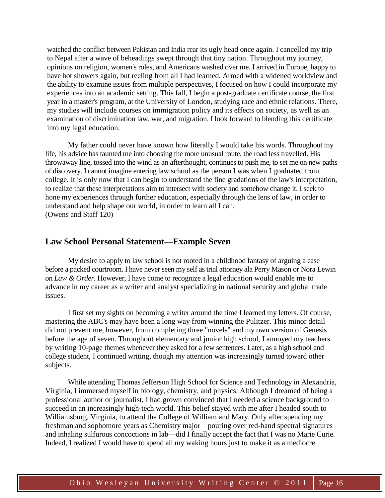watched the conflict between Pakistan and India rear its ugly head once again. I cancelled my trip to Nepal after a wave of beheadings swept through that tiny nation. Throughout my journey, opinions on religion, women's roles, and Americans washed over me. I arrived in Europe, happy to have hot showers again, but reeling from all I had learned. Armed with a widened worldview and the ability to examine issues from multiple perspectives, I focused on how I could incorporate my experiences into an academic setting. This fall, I begin a post-graduate certificate course, the first year in a master's program, at the University of London, studying race and ethnic relations. There, my studies will include courses on immigration policy and its effects on society, as well as an examination of discrimination law, war, and migration. I look forward to blending this certificate into my legal education.

My father could never have known how literally I would take his words. Throughout my life, his advice has taunted me into choosing the more unusual route, the road less travelled. His throwaway line, tossed into the wind as an afterthought, continues to push me, to set me on new paths of discovery. I cannot imagine entering law school as the person I was when I graduated from college. It is only now that I can begin to understand the fine gradations of the law's interpretation, to realize that these interpretations aim to intersect with society and somehow change it. I seek to hone my experiences through further education, especially through the lens of law, in order to understand and help shape our world, in order to learn all I can. (Owens and Staff 120)

#### **Law School Personal Statement—Example Seven**

My desire to apply to law school is not rooted in a childhood fantasy of arguing a case before a packed courtroom. I have never seen my self as trial attorney ala Perry Mason or Nora Lewin on *Law & Order.* However, I have come to recognize a legal education would enable me to advance in my career as a writer and analyst specializing in national security and global trade issues.

I first set my sights on becoming a writer around the time I learned my letters. Of course, mastering the ABC's may have been a long way from winning the Pulitzer. This minor detail did not prevent me, however, from completing three "novels" and my own version of Genesis before the age of seven. Throughout elementary and junior high school, I annoyed my teachers by writing 10-page themes whenever they asked for a few sentences. Later, as a high school and college student, I continued writing, though my attention was increasingly turned toward other subjects.

While attending Thomas Jefferson High School for Science and Technology in Alexandria, Virginia, I immersed myself in biology, chemistry, and physics. Although I dreamed of being a professional author or journalist, I had grown convinced that I needed a science background to succeed in an increasingly high-tech world. This belief stayed with me after I headed south to Williamsburg, Virginia, to attend the College of William and Mary. Only after spending my freshman and sophomore years as Chemistry major—pouring over red-band spectral signatures and inhaling sulfurous concoctions in lab—did I finally accept the fact that I was no Marie Curie. Indeed, I realized I would have to spend all my waking hours just to make it as a mediocre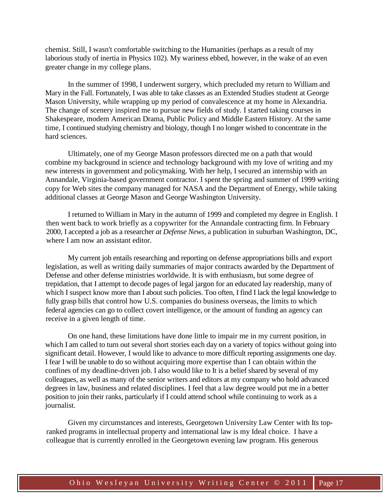chemist. Still, I wasn't comfortable switching to the Humanities (perhaps as a result of my laborious study of inertia in Physics 102). My wariness ebbed, however, in the wake of an even greater change in my college plans.

In the summer of 1998, I underwent surgery, which precluded my return to William and Mary in the Fall. Fortunately, I was able to take classes as an Extended Studies student at George Mason University, while wrapping up my period of convalescence at my home in Alexandria. The change of scenery inspired me to pursue new fields of study. I started taking courses in Shakespeare, modem American Drama, Public Policy and Middle Eastern History. At the same time, I continued studying chemistry and biology, though I no longer wished to concentrate in the hard sciences.

Ultimately, one of my George Mason professors directed me on a path that would combine my background in science and technology background with my love of writing and my new interests in government and policymaking. With her help, I secured an internship with an Annandale, Virginia-based government contractor. I spent the spring and summer of 1999 writing copy for Web sites the company managed for NASA and the Department of Energy, while taking additional classes at George Mason and George Washington University.

I returned to William in Mary in the autumn of 1999 and completed my degree in English. I then went back to work briefly as a copywriter for the Annandale contracting firm. In February 2000, I accepted a job as a researcher *at Defense News,* a publication in suburban Washington, DC, where I am now an assistant editor.

My current job entails researching and reporting on defense appropriations bills and export legislation, as well as writing daily summaries of major contracts awarded by the Department of Defense and other defense ministries worldwide. It is with enthusiasm, but some degree of trepidation, that I attempt to decode pages of legal jargon for an educated lay readership, many of which I suspect know more than I about such policies. Too often, I find I lack the legal knowledge to fully grasp bills that control how U.S. companies do business overseas, the limits to which federal agencies can go to collect covert intelligence, or the amount of funding an agency can receive in a given length of time.

On one hand, these limitations have done little to impair me in my current position, in which I am called to turn out several short stories each day on a variety of topics without going into significant detail. However, I would like to advance to more difficult reporting assignments one day. I fear I will be unable to do so without acquiring more expertise than I can obtain within the confines of my deadline-driven job. I also would like to It is a belief shared by several of my colleagues, as well as many of the senior writers and editors at my company who hold advanced degrees in law, business and related disciplines. I feel that a law degree would put me in a better position to join their ranks, particularly if I could attend school while continuing to work as a journalist.

Given my circumstances and interests, Georgetown University Law Center with Its topranked programs in intellectual property and international law is my Ideal choice. I have a colleague that is currently enrolled in the Georgetown evening law program. His generous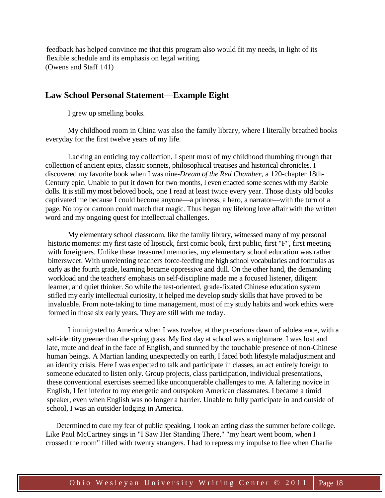feedback has helped convince me that this program also would fit my needs, in light of its flexible schedule and its emphasis on legal writing. (Owens and Staff 141)

#### **Law School Personal Statement—Example Eight**

I grew up smelling books.

My childhood room in China was also the family library, where I literally breathed books everyday for the first twelve years of my life.

Lacking an enticing toy collection, I spent most of my childhood thumbing through that collection of ancient epics, classic sonnets, philosophical treatises and historical chronicles. I discovered my favorite book when I was nine*-Dream of the Red Chamber,* a 120-chapter 18th-Century epic. Unable to put it down for two months, I even enacted some scenes with my Barbie dolls. It is still my most beloved book, one I read at least twice every year. Those dusty old books captivated me because I could become anyone—a princess, a hero, a narrator—with the turn of a page. No toy or cartoon could match that magic. Thus began my lifelong love affair with the written word and my ongoing quest for intellectual challenges.

My elementary school classroom, like the family library, witnessed many of my personal historic moments: my first taste of lipstick, first comic book, first public, first "F", first meeting with foreigners. Unlike these treasured memories, my elementary school education was rather bittersweet. With unrelenting teachers force-feeding me high school vocabularies and formulas as early as the fourth grade, learning became oppressive and dull. On the other hand, the demanding workload and the teachers' emphasis on self-discipline made me a focused listener, diligent learner, and quiet thinker. So while the test-oriented, grade-fixated Chinese education system stifled my early intellectual curiosity, it helped me develop study skills that have proved to be invaluable. From note-taking to time management, most of my study habits and work ethics were formed in those six early years. They are still with me today.

I immigrated to America when I was twelve, at the precarious dawn of adolescence, with a self-identity greener than the spring grass. My first day at school was a nightmare. I was lost and late, mute and deaf in the face of English, and stunned by the touchable presence of non-Chinese human beings. A Martian landing unexpectedly on earth, I faced both lifestyle maladjustment and an identity crisis. Here I was expected to talk and participate in classes, an act entirely foreign to someone educated to listen only. Group projects, class participation, individual presentations, these conventional exercises seemed like unconquerable challenges to me. A faltering novice in English, I felt inferior to my energetic and outspoken American classmates. I became a timid speaker, even when English was no longer a barrier. Unable to fully participate in and outside of school, I was an outsider lodging in America.

Determined to cure my fear of public speaking, I took an acting class the summer before college. Like Paul McCartney sings in "I Saw Her Standing There," "my heart went boom, when I crossed the room" filled with twenty strangers. I had to repress my impulse to flee when Charlie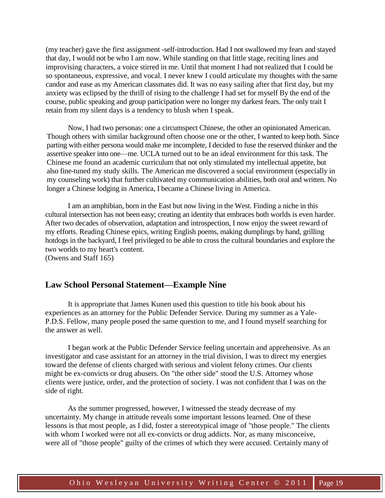(my teacher) gave the first assignment -self-introduction. Had I not swallowed my fears and stayed that day, I would not be who I am now. While standing on that little stage, reciting lines and improvising characters, a voice stirred in me. Until that moment I had not realized that I could be so spontaneous, expressive, and vocal. I never knew I could articulate my thoughts with the same candor and ease as my American classmates did. It was no easy sailing after that first day, but my anxiety was eclipsed by the thrill of rising to the challenge I had set for myself By the end of the course, public speaking and group participation were no longer my darkest fears. The only trait I retain from my silent days is a tendency to blush when I speak.

Now, I had two personas: one a circumspect Chinese, the other an opinionated American. Though others with similar background often choose one or the other, I wanted to keep both. Since parting with either persona would make me incomplete, I decided to fuse the reserved thinker and the assertive speaker into one—me. UCLA turned out to be an ideal environment for this task. The Chinese me found an academic curriculum that not only stimulated my intellectual appetite, but also fine-tuned my study skills. The American me discovered a social environment (especially in my counseling work) that further cultivated my communication abilities, both oral and written. No longer a Chinese lodging in America, I became a Chinese living in America.

I am an amphibian, born in the East but now living in the West. Finding a niche in this cultural intersection has not been easy; creating an identity that embraces both worlds is even harder. After two decades of observation, adaptation and introspection, I now enjoy the sweet reward of my efforts. Reading Chinese epics, writing English poems, making dumplings by hand, grilling hotdogs in the backyard, I feel privileged to be able to cross the cultural boundaries and explore the two worlds to my heart's content. (Owens and Staff 165)

#### **Law School Personal Statement—Example Nine**

It is appropriate that James Kunen used this question to title his book about his experiences as an attorney for the Public Defender Service. During my summer as a Yale-P.D.S. Fellow, many people posed the same question to me, and I found myself searching for the answer as well.

I began work at the Public Defender Service feeling uncertain and apprehensive. As an investigator and case assistant for an attorney in the trial division, I was to direct my energies toward the defense of clients charged with serious and violent felony crimes. Our clients might be ex-convicts or drug abusers. On "the other side" stood the U.S. Attorney whose clients were justice, order, and the protection of society. I was not confident that I was on the side of right.

As the summer progressed, however, I witnessed the steady decrease of my uncertainty. My change in attitude reveals some important lessons learned. One of these lessons is that most people, as I did, foster a stereotypical image of "those people." The clients with whom I worked were not all ex-convicts or drug addicts. Nor, as many misconceive, were all of "those people" guilty of the crimes of which they were accused. Certainly many of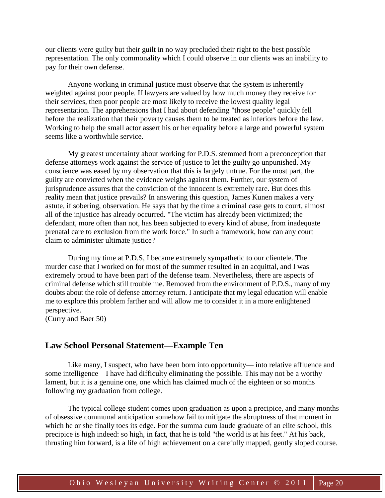our clients were guilty but their guilt in no way precluded their right to the best possible representation. The only commonality which I could observe in our clients was an inability to pay for their own defense.

Anyone working in criminal justice must observe that the system is inherently weighted against poor people. If lawyers are valued by how much money they receive for their services, then poor people are most likely to receive the lowest quality legal representation. The apprehensions that I had about defending "those people" quickly fell before the realization that their poverty causes them to be treated as inferiors before the law. Working to help the small actor assert his or her equality before a large and powerful system seems like a worthwhile service.

My greatest uncertainty about working for P.D.S. stemmed from a preconception that defense attorneys work against the service of justice to let the guilty go unpunished. My conscience was eased by my observation that this is largely untrue. For the most part, the guilty are convicted when the evidence weighs against them. Further, our system of jurisprudence assures that the conviction of the innocent is extremely rare. But does this reality mean that justice prevails? In answering this question, James Kunen makes a very astute, if sobering, observation. He says that by the time a criminal case gets to court, almost all of the injustice has already occurred. "The victim has already been victimized; the defendant, more often than not, has been subjected to every kind of abuse, from inadequate prenatal care to exclusion from the work force." In such a framework, how can any court claim to administer ultimate justice?

During my time at P.D.S, I became extremely sympathetic to our clientele. The murder case that I worked on for most of the summer resulted in an acquittal, and I was extremely proud to have been part of the defense team. Nevertheless, there are aspects of criminal defense which still trouble me. Removed from the environment of P.D.S., many of my doubts about the role of defense attorney return. I anticipate that my legal education will enable me to explore this problem farther and will allow me to consider it in a more enlightened perspective.

(Curry and Baer 50)

#### **Law School Personal Statement—Example Ten**

Like many, I suspect, who have been born into opportunity— into relative affluence and some intelligence—I have had difficulty eliminating the possible. This may not be a worthy lament, but it is a genuine one, one which has claimed much of the eighteen or so months following my graduation from college.

The typical college student comes upon graduation as upon a precipice, and many months of obsessive communal anticipation somehow fail to mitigate the abruptness of that moment in which he or she finally toes its edge. For the summa cum laude graduate of an elite school, this precipice is high indeed: so high, in fact, that he is told "the world is at his feet." At his back, thrusting him forward, is a life of high achievement on a carefully mapped, gently sloped course.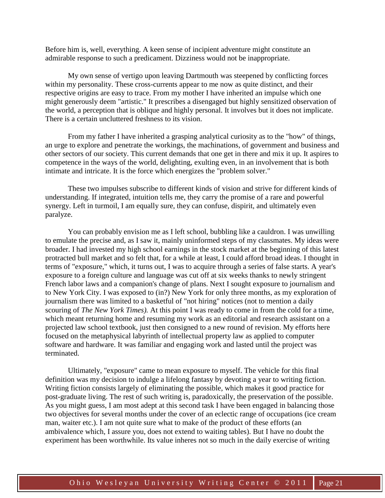Before him is, well, everything. A keen sense of incipient adventure might constitute an admirable response to such a predicament. Dizziness would not be inappropriate.

My own sense of vertigo upon leaving Dartmouth was steepened by conflicting forces within my personality. These cross-currents appear to me now as quite distinct, and their respective origins are easy to trace. From my mother I have inherited an impulse which one might generously deem "artistic." It prescribes a disengaged but highly sensitized observation of the world, a perception that is oblique and highly personal. It involves but it does not implicate. There is a certain uncluttered freshness to its vision.

From my father I have inherited a grasping analytical curiosity as to the "how" of things, an urge to explore and penetrate the workings, the machinations, of government and business and other sectors of our society. This current demands that one get in there and mix it up. It aspires to competence in the ways of the world, delighting, exulting even, in an involvement that is both intimate and intricate. It is the force which energizes the "problem solver."

These two impulses subscribe to different kinds of vision and strive for different kinds of understanding. If integrated, intuition tells me, they carry the promise of a rare and powerful synergy. Left in turmoil, I am equally sure, they can confuse, dispirit, and ultimately even paralyze.

You can probably envision me as I left school, bubbling like a cauldron. I was unwilling to emulate the precise and, as I saw it, mainly uninformed steps of my classmates. My ideas were broader. I had invested my high school earnings in the stock market at the beginning of this latest protracted bull market and so felt that, for a while at least, I could afford broad ideas. I thought in terms of "exposure," which, it turns out, I was to acquire through a series of false starts. A year's exposure to a foreign culture and language was cut off at six weeks thanks to newly stringent French labor laws and a companion's change of plans. Next I sought exposure to journalism and to New York City. I was exposed to (in?) New York for only three months, as my exploration of journalism there was limited to a basketful of "not hiring" notices (not to mention a daily scouring of *The New York Times).* At this point I was ready to come in from the cold for a time, which meant returning home and resuming my work as an editorial and research assistant on a projected law school textbook, just then consigned to a new round of revision. My efforts here focused on the metaphysical labyrinth of intellectual property law as applied to computer software and hardware. It was familiar and engaging work and lasted until the project was terminated.

Ultimately, "exposure" came to mean exposure to myself. The vehicle for this final definition was my decision to indulge a lifelong fantasy by devoting a year to writing fiction. Writing fiction consists largely of eliminating the possible, which makes it good practice for post-graduate living. The rest of such writing is, paradoxically, the preservation of the possible. As you might guess, I am most adept at this second task I have been engaged in balancing those two objectives for several months under the cover of an eclectic range of occupations (ice cream man, waiter etc.). I am not quite sure what to make of the product of these efforts (an ambivalence which, I assure you, does not extend to waiting tables). But I have no doubt the experiment has been worthwhile. Its value inheres not so much in the daily exercise of writing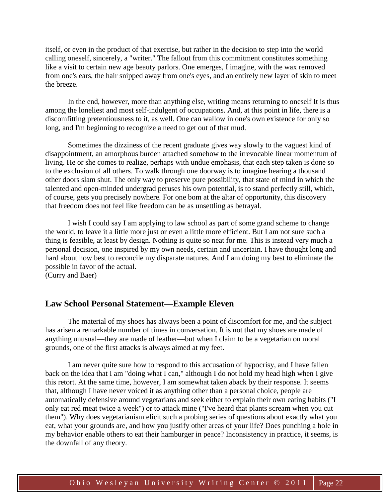itself, or even in the product of that exercise, but rather in the decision to step into the world calling oneself, sincerely, a "writer." The fallout from this commitment constitutes something like a visit to certain new age beauty parlors. One emerges, I imagine, with the wax removed from one's ears, the hair snipped away from one's eyes, and an entirely new layer of skin to meet the breeze.

In the end, however, more than anything else, writing means returning to oneself It is thus among the loneliest and most self-indulgent of occupations. And, at this point in life, there is a discomfitting pretentiousness to it, as well. One can wallow in one's own existence for only so long, and I'm beginning to recognize a need to get out of that mud.

Sometimes the dizziness of the recent graduate gives way slowly to the vaguest kind of disappointment, an amorphous burden attached somehow to the irrevocable linear momentum of living. He or she comes to realize, perhaps with undue emphasis, that each step taken is done so to the exclusion of all others. To walk through one doorway is to imagine hearing a thousand other doors slam shut. The only way to preserve pure possibility, that state of mind in which the talented and open-minded undergrad peruses his own potential, is to stand perfectly still, which, of course, gets you precisely nowhere. For one bom at the altar of opportunity, this discovery that freedom does not feel like freedom can be as unsettling as betrayal.

I wish I could say I am applying to law school as part of some grand scheme to change the world, to leave it a little more just or even a little more efficient. But I am not sure such a thing is feasible, at least by design. Nothing is quite so neat for me. This is instead very much a personal decision, one inspired by my own needs, certain and uncertain. I have thought long and hard about how best to reconcile my disparate natures. And I am doing my best to eliminate the possible in favor of the actual.

(Curry and Baer)

#### **Law School Personal Statement—Example Eleven**

The material of my shoes has always been a point of discomfort for me, and the subject has arisen a remarkable number of times in conversation. It is not that my shoes are made of anything unusual—they are made of leather—but when I claim to be a vegetarian on moral grounds, one of the first attacks is always aimed at my feet.

I am never quite sure how to respond to this accusation of hypocrisy, and I have fallen back on the idea that I am "doing what I can," although I do not hold my head high when I give this retort. At the same time, however, I am somewhat taken aback by their response. It seems that, although I have never voiced it as anything other than a personal choice, people are automatically defensive around vegetarians and seek either to explain their own eating habits ("I only eat red meat twice a week") or to attack mine ("I've heard that plants scream when you cut them"). Why does vegetarianism elicit such a probing series of questions about exactly what you eat, what your grounds are, and how you justify other areas of your life? Does punching a hole in my behavior enable others to eat their hamburger in peace? Inconsistency in practice, it seems, is the downfall of any theory.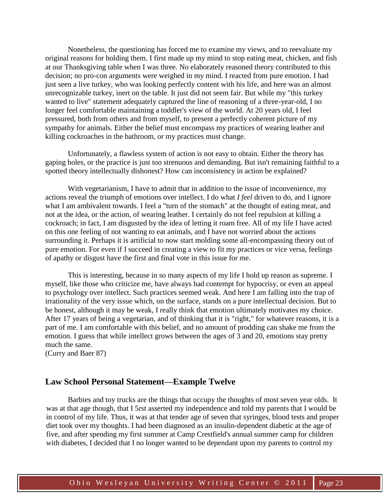Nonetheless, the questioning has forced me to examine my views, and to reevaluate my original reasons for holding them. I first made up my mind to stop eating meat, chicken, and fish at our Thanksgiving table when I was three. No elaborately reasoned theory contributed to this decision; no pro-con arguments were weighed in my mind. I reacted from pure emotion. I had just seen a live turkey, who was looking perfectly content with his life, and here was an almost unrecognizable turkey, inert on the table. It just did not seem fair. But while my "this turkey wanted to live" statement adequately captured the line of reasoning of a three-year-old, I no longer feel comfortable maintaining a toddler's view of the world. At 20 years old, I feel pressured, both from others and from myself, to present a perfectly coherent picture of my sympathy for animals. Either the belief must encompass my practices of wearing leather and killing cockroaches in the bathroom, or my practices must change.

Unfortunately, a flawless system of action is not easy to obtain. Either the theory has gaping holes, or the practice is just too strenuous and demanding. But isn't remaining faithful to a spotted theory intellectually dishonest? How can inconsistency in action be explained?

With vegetarianism, I have to admit that in addition to the issue of inconvenience, my actions reveal the triumph of emotions over intellect. I do what *I feel* driven to do, and I ignore what I am ambivalent towards. I feel a "turn of the stomach" at the thought of eating meat, and not at the idea, or the action, of wearing leather. I certainly do not feel repulsion at killing a cockroach; in fact, I am disgusted by the idea of letting it roam free. All of my life I have acted on this one feeling of not wanting to eat animals, and I have not worried about the actions surrounding it. Perhaps it is artificial to now start molding some all-encompassing theory out of pure emotion. For even if I succeed in creating a view to fit my practices or vice versa, feelings of apathy or disgust have the first and final vote in this issue for me.

This is interesting, because in so many aspects of my life I hold up reason as supreme. I myself, like those who criticize me, have always had contempt for hypocrisy, or even an appeal to psychology over intellect. Such practices seemed weak. And here I am falling into the trap of irrationality of the very issue which, on the surface, stands on a pure intellectual decision. But to be honest, although it may be weak, I really think that emotion ultimately motivates my choice. After 17 years of being a vegetarian, and of thinking that it is "right," for whatever reasons, it is a part of me. I am comfortable with this belief, and no amount of prodding can shake me from the emotion. I guess that while intellect grows between the ages of 3 and 20, emotions stay pretty much the same.

(Curry and Baer 87)

#### **Law School Personal Statement—Example Twelve**

Barbies and toy trucks are the things that occupy the thoughts of most seven year olds. It was at that age though, that I 5rst asserted my independence and told my parents that I would be in control of my life. Thus, it was at that tender age of seven that syringes, blood tests and proper diet took over my thoughts. I had been diagnosed as an insulin-dependent diabetic at the age of five, and after spending my first summer at Camp Crestfield's annual summer camp for children with diabetes, I decided that I no longer wanted to be dependant upon my parents to control my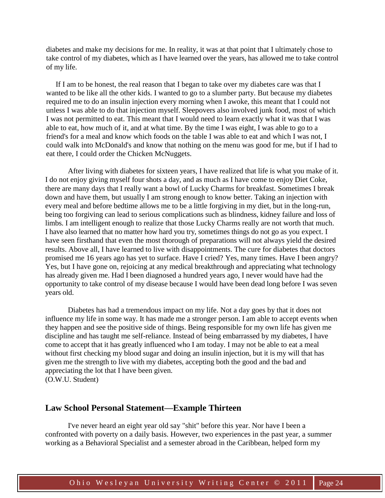diabetes and make my decisions for me. In reality, it was at that point that I ultimately chose to take control of my diabetes, which as I have learned over the years, has allowed me to take control of my life.

 If I am to be honest, the real reason that I began to take over my diabetes care was that I wanted to be like all the other kids. I wanted to go to a slumber party. But because my diabetes required me to do an insulin injection every morning when I awoke, this meant that I could not unless I was able to do that injection myself. Sleepovers also involved junk food, most of which I was not permitted to eat. This meant that I would need to learn exactly what it was that I was able to eat, how much of it, and at what time. By the time I was eight, I was able to go to a friend's for a meal and know which foods on the table I was able to eat and which I was not, I could walk into McDonald's and know that nothing on the menu was good for me, but if I had to eat there, I could order the Chicken McNuggets.

After living with diabetes for sixteen years, I have realized that life is what you make of it. I do not enjoy giving myself four shots a day, and as much as I have come to enjoy Diet Coke, there are many days that I really want a bowl of Lucky Charms for breakfast. Sometimes I break down and have them, but usually I am strong enough to know better. Taking an injection with every meal and before bedtime allows me to be a little forgiving in my diet, but in the long-run, being too forgiving can lead to serious complications such as blindness, kidney failure and loss of limbs. I am intelligent enough to realize that those Lucky Charms really are not worth that much. I have also learned that no matter how hard you try, sometimes things do not go as you expect. I have seen firsthand that even the most thorough of preparations will not always yield the desired results. Above all, I have learned to live with disappointments. The cure for diabetes that doctors promised me 16 years ago has yet to surface. Have I cried? Yes, many times. Have I been angry? Yes, but I have gone on, rejoicing at any medical breakthrough and appreciating what technology has already given me. Had I been diagnosed a hundred years ago, I never would have had the opportunity to take control of my disease because I would have been dead long before I was seven years old.

Diabetes has had a tremendous impact on my life. Not a day goes by that it does not influence my life in some way. It has made me a stronger person. I am able to accept events when they happen and see the positive side of things. Being responsible for my own life has given me discipline and has taught me self-reliance. Instead of being embarrassed by my diabetes, I have come to accept that it has greatly influenced who I am today. I may not be able to eat a meal without first checking my blood sugar and doing an insulin injection, but it is my will that has given me the strength to live with my diabetes, accepting both the good and the bad and appreciating the lot that I have been given. (O.W.U. Student)

#### **Law School Personal Statement—Example Thirteen**

I've never heard an eight year old say "shit" before this year. Nor have I been a confronted with poverty on a daily basis. However, two experiences in the past year, a summer working as a Behavioral Specialist and a semester abroad in the Caribbean, helped form my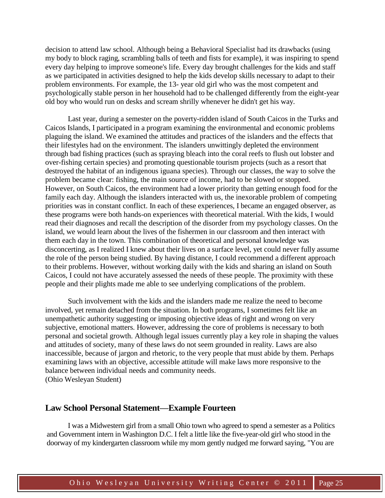decision to attend law school. Although being a Behavioral Specialist had its drawbacks (using my body to block raging, scrambling balls of teeth and fists for example), it was inspiring to spend every day helping to improve someone's life. Every day brought challenges for the kids and staff as we participated in activities designed to help the kids develop skills necessary to adapt to their problem environments. For example, the 13- year old girl who was the most competent and psychologically stable person in her household had to be challenged differently from the eight-year old boy who would run on desks and scream shrilly whenever he didn't get his way.

Last year, during a semester on the poverty-ridden island of South Caicos in the Turks and Caicos Islands, I participated in a program examining the environmental and economic problems plaguing the island. We examined the attitudes and practices of the islanders and the effects that their lifestyles had on the environment. The islanders unwittingly depleted the environment through bad fishing practices (such as spraying bleach into the coral reefs to flush out lobster and over-fishing certain species) and promoting questionable tourism projects (such as a resort that destroyed the habitat of an indigenous iguana species). Through our classes, the way to solve the problem became clear: fishing, the main source of income, had to be slowed or stopped. However, on South Caicos, the environment had a lower priority than getting enough food for the family each day. Although the islanders interacted with us, the inexorable problem of competing priorities was in constant conflict. In each of these experiences, I became an engaged observer, as these programs were both hands-on experiences with theoretical material. With the kids, I would read their diagnoses and recall the description of the disorder from my psychology classes. On the island, we would learn about the lives of the fishermen in our classroom and then interact with them each day in the town. This combination of theoretical and personal knowledge was disconcerting, as I realized I knew about their lives on a surface level, yet could never fully assume the role of the person being studied. By having distance, I could recommend a different approach to their problems. However, without working daily with the kids and sharing an island on South Caicos, I could not have accurately assessed the needs of these people. The proximity with these people and their plights made me able to see underlying complications of the problem.

Such involvement with the kids and the islanders made me realize the need to become involved, yet remain detached from the situation. In both programs, I sometimes felt like an unempathetic authority suggesting or imposing objective ideas of right and wrong on very subjective, emotional matters. However, addressing the core of problems is necessary to both personal and societal growth. Although legal issues currently play a key role in shaping the values and attitudes of society, many of these laws do not seem grounded in reality. Laws are also inaccessible, because of jargon and rhetoric, to the very people that must abide by them. Perhaps examining laws with an objective, accessible attitude will make laws more responsive to the balance between individual needs and community needs. (Ohio Wesleyan Student)

#### **Law School Personal Statement—Example Fourteen**

I was a Midwestern girl from a small Ohio town who agreed to spend a semester as a Politics and Government intern in Washington D.C. I felt a little like the five-year-old girl who stood in the doorway of my kindergarten classroom while my mom gently nudged me forward saying, "You are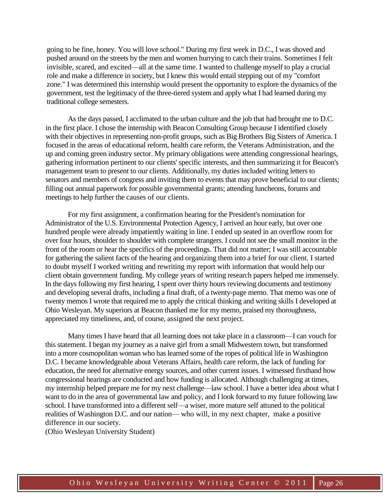going to be fine, honey. You will love school." During my first week in D.C., I was shoved and pushed around on the streets by the men and women hurrying to catch their trains. Sometimes I felt invisible, scared, and excited—all at the same time. I wanted to challenge myself to play a crucial role and make a difference in society, but I knew this would entail stepping out of my "comfort zone." I was determined this internship would present the opportunity to explore the dynamics of the government, test the legitimacy of the three-tiered system and apply what I had learned during my traditional college semesters.

As the days passed, I acclimated to the urban culture and the job that had brought me to D.C. in the first place. I chose the internship with Beacon Consulting Group because I identified closely with their objectives in representing non-profit groups, such as Big Brothers Big Sisters of America. I focused in the areas of educational reform, health care reform, the Veterans Administration, and the up and coming green industry sector. My primary obligations were attending congressional hearings, gathering information pertinent to our clients' specific interests, and then summarizing it for Beacon's management team to present to our clients. Additionally, my duties included writing letters to senators and members of congress and inviting them to events that may prove beneficial to our clients; filling out annual paperwork for possible governmental grants; attending luncheons, forums and meetings to help further the causes of our clients.

For my first assignment, a confirmation hearing for the President's nomination for Administrator of the U.S. Environmental Protection Agency, I arrived an hour early, but over one hundred people were already impatiently waiting in line. I ended up seated in an overflow room for over four hours, shoulder to shoulder with complete strangers. I could not see the small monitor in the front of the room or hear the specifics of the proceedings. That did not matter; I was still accountable for gathering the salient facts of the hearing and organizing them into a brief for our client. I started to doubt myself I worked writing and rewriting my report with information that would help our client obtain government funding. My college years of writing research papers helped me immensely. In the days following my first hearing, I spent over thirty hours reviewing documents and testimony and developing several drafts, including a final draft, of a twenty-page memo. That memo was one of twenty memos I wrote that required me to apply the critical thinking and writing skills I developed at Ohio Wesleyan. My superiors at Beacon thanked me for my memo, praised my thoroughness, appreciated my timeliness, and, of course, assigned the next project.

Many times I have heard that all learning does not take place in a classroom—I can vouch for this statement. I began my journey as a naive girl from a small Midwestern town, but transformed into a more cosmopolitan woman who has learned some of the ropes of political life in Washington D.C. I became knowledgeable about Veterans Affairs, health care reform, the lack of funding for education, the need for alternative energy sources, and other current issues. I witnessed firsthand how congressional hearings are conducted and how funding is allocated. Although challenging at times, my internship helped prepare me for my next challenge—law school. I have a better idea about what I want to do in the area of governmental law and policy, and I look forward to my future following law school. I have transformed into a different self—a wiser, more mature self attuned to the political realities of Washington D.C. and our nation— who will, in my next chapter, make a positive difference in our society.

(Ohio Wesleyan University Student)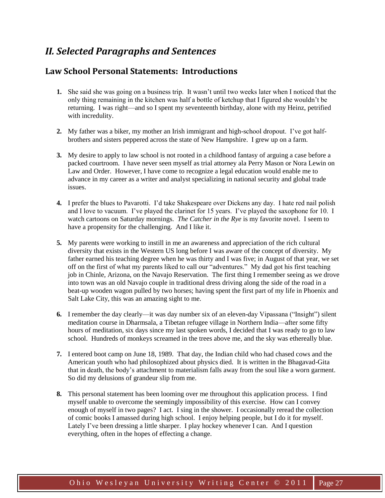## <span id="page-28-0"></span>*II. Selected Paragraphs and Sentences*

#### <span id="page-28-1"></span>**Law School Personal Statements: Introductions**

- **1.** She said she was going on a business trip. It wasn't until two weeks later when I noticed that the only thing remaining in the kitchen was half a bottle of ketchup that I figured she wouldn't be returning. I was right—and so I spent my seventeenth birthday, alone with my Heinz, petrified with incredulity.
- **2.** My father was a biker, my mother an Irish immigrant and high-school dropout. I've got halfbrothers and sisters peppered across the state of New Hampshire. I grew up on a farm.
- **3.** My desire to apply to law school is not rooted in a childhood fantasy of arguing a case before a packed courtroom. I have never seen myself as trial attorney ala Perry Mason or Nora Lewin on Law and Order. However, I have come to recognize a legal education would enable me to advance in my career as a writer and analyst specializing in national security and global trade issues.
- **4.** I prefer the blues to Pavarotti. I'd take Shakespeare over Dickens any day. I hate red nail polish and I love to vacuum. I've played the clarinet for 15 years. I've played the saxophone for 10. I watch cartoons on Saturday mornings. *The Catcher in the Rye* is my favorite novel. I seem to have a propensity for the challenging. And I like it.
- **5.** My parents were working to instill in me an awareness and appreciation of the rich cultural diversity that exists in the Western US long before I was aware of the concept of diversity. My father earned his teaching degree when he was thirty and I was five; in August of that year, we set off on the first of what my parents liked to call our "adventures." My dad got his first teaching job in Chinle, Arizona, on the Navajo Reservation. The first thing I remember seeing as we drove into town was an old Navajo couple in traditional dress driving along the side of the road in a beat-up wooden wagon pulled by two horses; having spent the first part of my life in Phoenix and Salt Lake City, this was an amazing sight to me.
- **6.** I remember the day clearly—it was day number six of an eleven-day Vipassana ("Insight") silent meditation course in Dharmsala, a Tibetan refugee village in Northern India—after some fifty hours of meditation, six days since my last spoken words, I decided that I was ready to go to law school. Hundreds of monkeys screamed in the trees above me, and the sky was ethereally blue.
- **7.** I entered boot camp on June 18, 1989. That day, the Indian child who had chased cows and the American youth who had philosophized about physics died. It is written in the Bhagavad-Gita that in death, the body's attachment to materialism falls away from the soul like a worn garment. So did my delusions of grandeur slip from me.
- **8.** This personal statement has been looming over me throughout this application process. I find myself unable to overcome the seemingly impossibility of this exercise. How can I convey enough of myself in two pages? I act. I sing in the shower. I occasionally reread the collection of comic books I amassed during high school. I enjoy helping people, but I do it for myself. Lately I've been dressing a little sharper. I play hockey whenever I can. And I question everything, often in the hopes of effecting a change.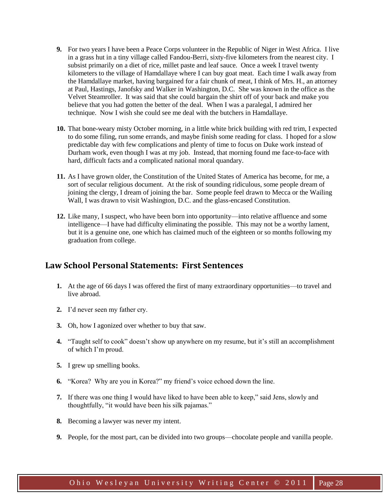- **9.** For two years I have been a Peace Corps volunteer in the Republic of Niger in West Africa. I live in a grass hut in a tiny village called Fandou-Berri, sixty-five kilometers from the nearest city. I subsist primarily on a diet of rice, millet paste and leaf sauce. Once a week I travel twenty kilometers to the village of Hamdallaye where I can buy goat meat. Each time I walk away from the Hamdallaye market, having bargained for a fair chunk of meat, I think of Mrs. H., an attorney at Paul, Hastings, Janofsky and Walker in Washington, D.C. She was known in the office as the Velvet Steamroller. It was said that she could bargain the shirt off of your back and make you believe that you had gotten the better of the deal. When I was a paralegal, I admired her technique. Now I wish she could see me deal with the butchers in Hamdallaye.
- **10.** That bone-weary misty October morning, in a little white brick building with red trim, I expected to do some filing, run some errands, and maybe finish some reading for class. I hoped for a slow predictable day with few complications and plenty of time to focus on Duke work instead of Durham work, even though I was at my job. Instead, that morning found me face-to-face with hard, difficult facts and a complicated national moral quandary.
- **11.** As I have grown older, the Constitution of the United States of America has become, for me, a sort of secular religious document. At the risk of sounding ridiculous, some people dream of joining the clergy, I dream of joining the bar. Some people feel drawn to Mecca or the Wailing Wall, I was drawn to visit Washington, D.C. and the glass-encased Constitution.
- **12.** Like many, I suspect, who have been born into opportunity—into relative affluence and some intelligence—I have had difficulty eliminating the possible. This may not be a worthy lament, but it is a genuine one, one which has claimed much of the eighteen or so months following my graduation from college.

#### <span id="page-29-0"></span>**Law School Personal Statements: First Sentences**

- **1.** At the age of 66 days I was offered the first of many extraordinary opportunities—to travel and live abroad.
- **2.** I'd never seen my father cry.
- **3.** Oh, how I agonized over whether to buy that saw.
- **4.** "Taught self to cook" doesn't show up anywhere on my resume, but it's still an accomplishment of which I'm proud.
- **5.** I grew up smelling books.
- **6.** "Korea? Why are you in Korea?" my friend's voice echoed down the line.
- **7.** If there was one thing I would have liked to have been able to keep," said Jens, slowly and thoughtfully, "it would have been his silk pajamas."
- **8.** Becoming a lawyer was never my intent.
- **9.** People, for the most part, can be divided into two groups—chocolate people and vanilla people.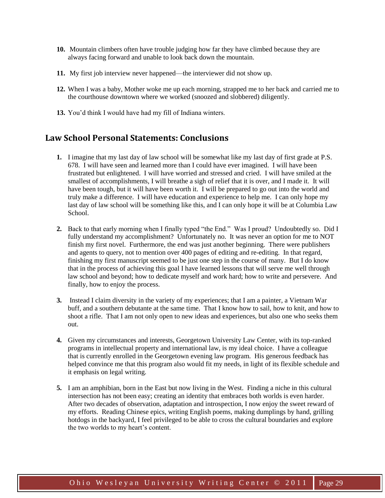- **10.** Mountain climbers often have trouble judging how far they have climbed because they are always facing forward and unable to look back down the mountain.
- **11.** My first job interview never happened—the interviewer did not show up.
- **12.** When I was a baby, Mother woke me up each morning, strapped me to her back and carried me to the courthouse downtown where we worked (snoozed and slobbered) diligently.
- **13.** You'd think I would have had my fill of Indiana winters.

#### <span id="page-30-0"></span>**Law School Personal Statements: Conclusions**

- **1.** I imagine that my last day of law school will be somewhat like my last day of first grade at P.S. 678. I will have seen and learned more than I could have ever imagined. I will have been frustrated but enlightened. I will have worried and stressed and cried. I will have smiled at the smallest of accomplishments, I will breathe a sigh of relief that it is over, and I made it. It will have been tough, but it will have been worth it. I will be prepared to go out into the world and truly make a difference. I will have education and experience to help me. I can only hope my last day of law school will be something like this, and I can only hope it will be at Columbia Law School.
- **2.** Back to that early morning when I finally typed "the End." Was I proud? Undoubtedly so. Did I fully understand my accomplishment? Unfortunately no. It was never an option for me to NOT finish my first novel. Furthermore, the end was just another beginning. There were publishers and agents to query, not to mention over 400 pages of editing and re-editing. In that regard, finishing my first manuscript seemed to be just one step in the course of many. But I do know that in the process of achieving this goal I have learned lessons that will serve me well through law school and beyond; how to dedicate myself and work hard; how to write and persevere. And finally, how to enjoy the process.
- **3.** Instead I claim diversity in the variety of my experiences; that I am a painter, a Vietnam War buff, and a southern debutante at the same time. That I know how to sail, how to knit, and how to shoot a rifle. That I am not only open to new ideas and experiences, but also one who seeks them out.
- **4.** Given my circumstances and interests, Georgetown University Law Center, with its top-ranked programs in intellectual property and international law, is my ideal choice. I have a colleague that is currently enrolled in the Georgetown evening law program. His generous feedback has helped convince me that this program also would fit my needs, in light of its flexible schedule and it emphasis on legal writing.
- **5.** I am an amphibian, born in the East but now living in the West. Finding a niche in this cultural intersection has not been easy; creating an identity that embraces both worlds is even harder. After two decades of observation, adaptation and introspection, I now enjoy the sweet reward of my efforts. Reading Chinese epics, writing English poems, making dumplings by hand, grilling hotdogs in the backyard, I feel privileged to be able to cross the cultural boundaries and explore the two worlds to my heart's content.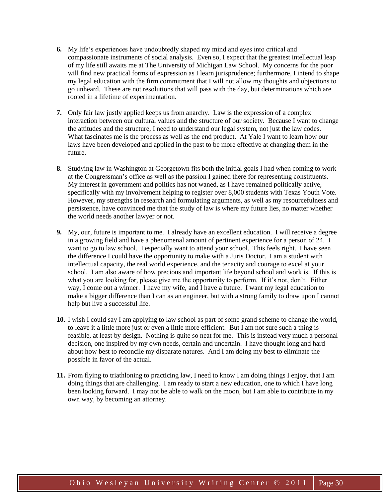- **6.** My life's experiences have undoubtedly shaped my mind and eyes into critical and compassionate instruments of social analysis. Even so, I expect that the greatest intellectual leap of my life still awaits me at The University of Michigan Law School. My concerns for the poor will find new practical forms of expression as I learn jurisprudence; furthermore, I intend to shape my legal education with the firm commitment that I will not allow my thoughts and objections to go unheard. These are not resolutions that will pass with the day, but determinations which are rooted in a lifetime of experimentation.
- **7.** Only fair law justly applied keeps us from anarchy. Law is the expression of a complex interaction between our cultural values and the structure of our society. Because I want to change the attitudes and the structure, I need to understand our legal system, not just the law codes. What fascinates me is the process as well as the end product. At Yale I want to learn how our laws have been developed and applied in the past to be more effective at changing them in the future.
- **8.** Studying law in Washington at Georgetown fits both the initial goals I had when coming to work at the Congressman's office as well as the passion I gained there for representing constituents. My interest in government and politics has not waned, as I have remained politically active, specifically with my involvement helping to register over 8,000 students with Texas Youth Vote. However, my strengths in research and formulating arguments, as well as my resourcefulness and persistence, have convinced me that the study of law is where my future lies, no matter whether the world needs another lawyer or not.
- **9.** My, our, future is important to me. I already have an excellent education. I will receive a degree in a growing field and have a phenomenal amount of pertinent experience for a person of 24. I want to go to law school. I especially want to attend your school. This feels right. I have seen the difference I could have the opportunity to make with a Juris Doctor. I am a student with intellectual capacity, the real world experience, and the tenacity and courage to excel at your school. I am also aware of how precious and important life beyond school and work is. If this is what you are looking for, please give me the opportunity to perform. If it's not, don't. Either way, I come out a winner. I have my wife, and I have a future. I want my legal education to make a bigger difference than I can as an engineer, but with a strong family to draw upon I cannot help but live a successful life.
- **10.** I wish I could say I am applying to law school as part of some grand scheme to change the world, to leave it a little more just or even a little more efficient. But I am not sure such a thing is feasible, at least by design. Nothing is quite so neat for me. This is instead very much a personal decision, one inspired by my own needs, certain and uncertain. I have thought long and hard about how best to reconcile my disparate natures. And I am doing my best to eliminate the possible in favor of the actual.
- **11.** From flying to triathloning to practicing law, I need to know I am doing things I enjoy, that I am doing things that are challenging. I am ready to start a new education, one to which I have long been looking forward. I may not be able to walk on the moon, but I am able to contribute in my own way, by becoming an attorney.